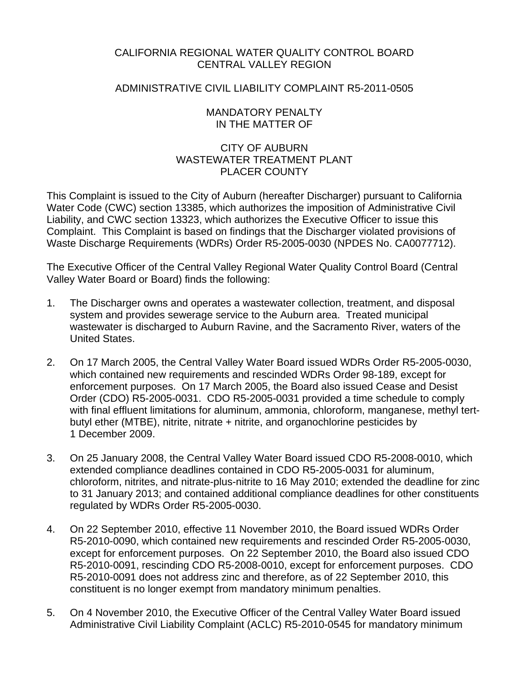## CALIFORNIA REGIONAL WATER QUALITY CONTROL BOARD CENTRAL VALLEY REGION

#### ADMINISTRATIVE CIVIL LIABILITY COMPLAINT R5-2011-0505

#### MANDATORY PENALTY IN THE MATTER OF

## CITY OF AUBURN WASTEWATER TREATMENT PLANT PLACER COUNTY

This Complaint is issued to the City of Auburn (hereafter Discharger) pursuant to California Water Code (CWC) section 13385, which authorizes the imposition of Administrative Civil Liability, and CWC section 13323, which authorizes the Executive Officer to issue this Complaint. This Complaint is based on findings that the Discharger violated provisions of Waste Discharge Requirements (WDRs) Order R5-2005-0030 (NPDES No. CA0077712).

The Executive Officer of the Central Valley Regional Water Quality Control Board (Central Valley Water Board or Board) finds the following:

- 1. The Discharger owns and operates a wastewater collection, treatment, and disposal system and provides sewerage service to the Auburn area. Treated municipal wastewater is discharged to Auburn Ravine, and the Sacramento River, waters of the United States.
- 2. On 17 March 2005, the Central Valley Water Board issued WDRs Order R5-2005-0030, which contained new requirements and rescinded WDRs Order 98-189, except for enforcement purposes. On 17 March 2005, the Board also issued Cease and Desist Order (CDO) R5-2005-0031. CDO R5-2005-0031 provided a time schedule to comply with final effluent limitations for aluminum, ammonia, chloroform, manganese, methyl tertbutyl ether (MTBE), nitrite, nitrate + nitrite, and organochlorine pesticides by 1 December 2009.
- 3. On 25 January 2008, the Central Valley Water Board issued CDO R5-2008-0010, which extended compliance deadlines contained in CDO R5-2005-0031 for aluminum, chloroform, nitrites, and nitrate-plus-nitrite to 16 May 2010; extended the deadline for zinc to 31 January 2013; and contained additional compliance deadlines for other constituents regulated by WDRs Order R5-2005-0030.
- 4. On 22 September 2010, effective 11 November 2010, the Board issued WDRs Order R5-2010-0090, which contained new requirements and rescinded Order R5-2005-0030, except for enforcement purposes. On 22 September 2010, the Board also issued CDO R5-2010-0091, rescinding CDO R5-2008-0010, except for enforcement purposes. CDO R5-2010-0091 does not address zinc and therefore, as of 22 September 2010, this constituent is no longer exempt from mandatory minimum penalties.
- 5. On 4 November 2010, the Executive Officer of the Central Valley Water Board issued Administrative Civil Liability Complaint (ACLC) R5-2010-0545 for mandatory minimum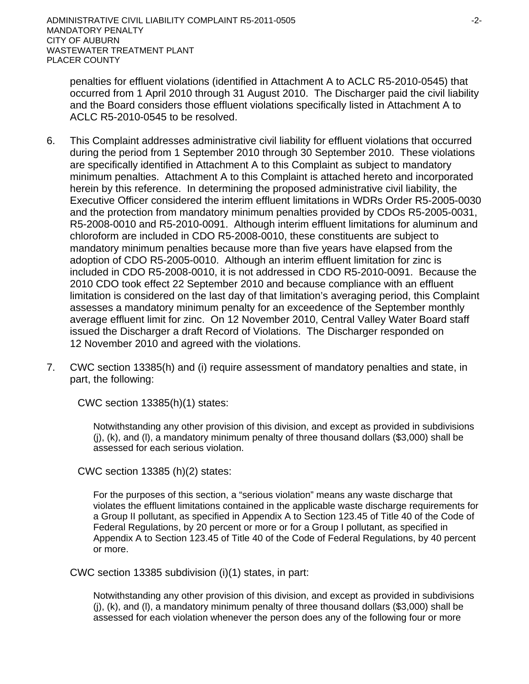penalties for effluent violations (identified in Attachment A to ACLC R5-2010-0545) that occurred from 1 April 2010 through 31 August 2010. The Discharger paid the civil liability and the Board considers those effluent violations specifically listed in Attachment A to ACLC R5-2010-0545 to be resolved.

- 6. This Complaint addresses administrative civil liability for effluent violations that occurred during the period from 1 September 2010 through 30 September 2010. These violations are specifically identified in Attachment A to this Complaint as subject to mandatory minimum penalties. Attachment A to this Complaint is attached hereto and incorporated herein by this reference. In determining the proposed administrative civil liability, the Executive Officer considered the interim effluent limitations in WDRs Order R5-2005-0030 and the protection from mandatory minimum penalties provided by CDOs R5-2005-0031, R5-2008-0010 and R5-2010-0091. Although interim effluent limitations for aluminum and chloroform are included in CDO R5-2008-0010, these constituents are subject to mandatory minimum penalties because more than five years have elapsed from the adoption of CDO R5-2005-0010. Although an interim effluent limitation for zinc is included in CDO R5-2008-0010, it is not addressed in CDO R5-2010-0091. Because the 2010 CDO took effect 22 September 2010 and because compliance with an effluent limitation is considered on the last day of that limitation's averaging period, this Complaint assesses a mandatory minimum penalty for an exceedence of the September monthly average effluent limit for zinc. On 12 November 2010, Central Valley Water Board staff issued the Discharger a draft Record of Violations. The Discharger responded on 12 November 2010 and agreed with the violations.
- 7. CWC section 13385(h) and (i) require assessment of mandatory penalties and state, in part, the following:

CWC section 13385(h)(1) states:

Notwithstanding any other provision of this division, and except as provided in subdivisions (j), (k), and (l), a mandatory minimum penalty of three thousand dollars (\$3,000) shall be assessed for each serious violation.

CWC section 13385 (h)(2) states:

For the purposes of this section, a "serious violation" means any waste discharge that violates the effluent limitations contained in the applicable waste discharge requirements for a Group II pollutant, as specified in Appendix A to Section 123.45 of Title 40 of the Code of Federal Regulations, by 20 percent or more or for a Group I pollutant, as specified in Appendix A to Section 123.45 of Title 40 of the Code of Federal Regulations, by 40 percent or more.

CWC section 13385 subdivision (i)(1) states, in part:

Notwithstanding any other provision of this division, and except as provided in subdivisions (j), (k), and (l), a mandatory minimum penalty of three thousand dollars (\$3,000) shall be assessed for each violation whenever the person does any of the following four or more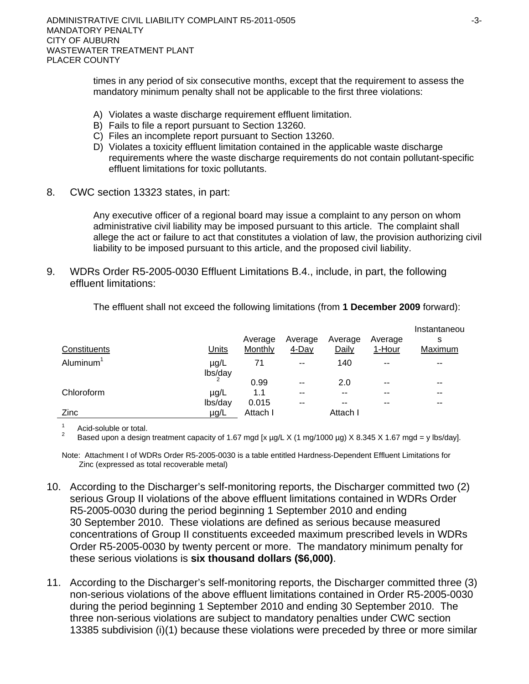times in any period of six consecutive months, except that the requirement to assess the mandatory minimum penalty shall not be applicable to the first three violations:

- A) Violates a waste discharge requirement effluent limitation.
- B) Fails to file a report pursuant to Section 13260.
- C) Files an incomplete report pursuant to Section 13260.
- D) Violates a toxicity effluent limitation contained in the applicable waste discharge requirements where the waste discharge requirements do not contain pollutant-specific effluent limitations for toxic pollutants.
- 8. CWC section 13323 states, in part:

Any executive officer of a regional board may issue a complaint to any person on whom administrative civil liability may be imposed pursuant to this article. The complaint shall allege the act or failure to act that constitutes a violation of law, the provision authorizing civil liability to be imposed pursuant to this article, and the proposed civil liability.

9. WDRs Order R5-2005-0030 Effluent Limitations B.4., include, in part, the following effluent limitations:

| Constituents          | <b>Units</b>         | Average<br><b>Monthly</b> | Average<br>$4$ -Day | Average<br>Daily | Average<br>1-Hour | Instantaneou<br>s<br>Maximum |
|-----------------------|----------------------|---------------------------|---------------------|------------------|-------------------|------------------------------|
| Aluminum <sup>1</sup> | $\mu$ g/L<br>lbs/day | 71                        | $\sim$ $\sim$       | 140              | $- -$             | --                           |
|                       |                      | 0.99                      | $-$                 | 2.0              | $- -$             | $- -$                        |
| Chloroform            | µg/L                 | 1.1                       | $-$                 | --               | --                | $- -$                        |
|                       | lbs/day              | 0.015                     | $- -$               | --               | --                | --                           |
| Zinc                  | µg/L                 | Attach I                  |                     | Attach I         |                   |                              |

The effluent shall not exceed the following limitations (from **1 December 2009** forward):

1 Acid-soluble or total.

2 Based upon a design treatment capacity of 1.67 mgd [x µg/L X (1 mg/1000 µg) X 8.345 X 1.67 mgd = y lbs/day].

Note: Attachment I of WDRs Order R5-2005-0030 is a table entitled Hardness-Dependent Effluent Limitations for Zinc (expressed as total recoverable metal)

- 10. According to the Discharger's self-monitoring reports, the Discharger committed two (2) serious Group II violations of the above effluent limitations contained in WDRs Order R5-2005-0030 during the period beginning 1 September 2010 and ending 30 September 2010. These violations are defined as serious because measured concentrations of Group II constituents exceeded maximum prescribed levels in WDRs Order R5-2005-0030 by twenty percent or more. The mandatory minimum penalty for these serious violations is **six thousand dollars (\$6,000)**.
- 11. According to the Discharger's self-monitoring reports, the Discharger committed three (3) non-serious violations of the above effluent limitations contained in Order R5-2005-0030 during the period beginning 1 September 2010 and ending 30 September 2010. The three non-serious violations are subject to mandatory penalties under CWC section 13385 subdivision (i)(1) because these violations were preceded by three or more similar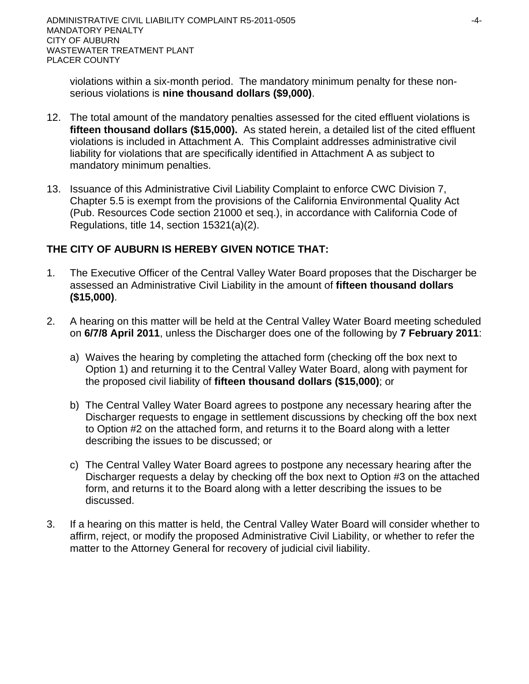violations within a six-month period. The mandatory minimum penalty for these nonserious violations is **nine thousand dollars (\$9,000)**.

- 12. The total amount of the mandatory penalties assessed for the cited effluent violations is **fifteen thousand dollars (\$15,000).** As stated herein, a detailed list of the cited effluent violations is included in Attachment A. This Complaint addresses administrative civil liability for violations that are specifically identified in Attachment A as subject to mandatory minimum penalties.
- 13. Issuance of this Administrative Civil Liability Complaint to enforce CWC Division 7, Chapter 5.5 is exempt from the provisions of the California Environmental Quality Act (Pub. Resources Code section 21000 et seq.), in accordance with California Code of Regulations, title 14, section 15321(a)(2).

# **THE CITY OF AUBURN IS HEREBY GIVEN NOTICE THAT:**

- 1. The Executive Officer of the Central Valley Water Board proposes that the Discharger be assessed an Administrative Civil Liability in the amount of **fifteen thousand dollars (\$15,000)**.
- 2. A hearing on this matter will be held at the Central Valley Water Board meeting scheduled on **6/7/8 April 2011**, unless the Discharger does one of the following by **7 February 2011**:
	- a) Waives the hearing by completing the attached form (checking off the box next to Option 1) and returning it to the Central Valley Water Board, along with payment for the proposed civil liability of **fifteen thousand dollars (\$15,000)**; or
	- b) The Central Valley Water Board agrees to postpone any necessary hearing after the Discharger requests to engage in settlement discussions by checking off the box next to Option #2 on the attached form, and returns it to the Board along with a letter describing the issues to be discussed; or
	- c) The Central Valley Water Board agrees to postpone any necessary hearing after the Discharger requests a delay by checking off the box next to Option #3 on the attached form, and returns it to the Board along with a letter describing the issues to be discussed.
- 3. If a hearing on this matter is held, the Central Valley Water Board will consider whether to affirm, reject, or modify the proposed Administrative Civil Liability, or whether to refer the matter to the Attorney General for recovery of judicial civil liability.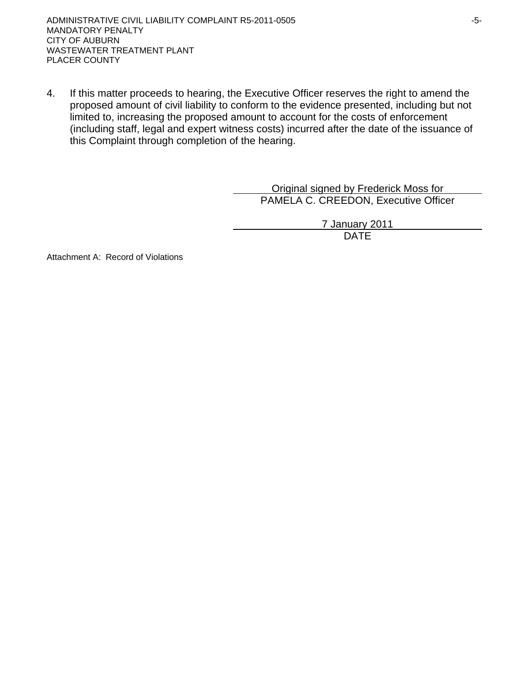4. If this matter proceeds to hearing, the Executive Officer reserves the right to amend the proposed amount of civil liability to conform to the evidence presented, including but not limited to, increasing the proposed amount to account for the costs of enforcement (including staff, legal and expert witness costs) incurred after the date of the issuance of this Complaint through completion of the hearing.

> Original signed by Frederick Moss for PAMELA C. CREEDON, Executive Officer

> > 7 January 2011 DATE

Attachment A: Record of Violations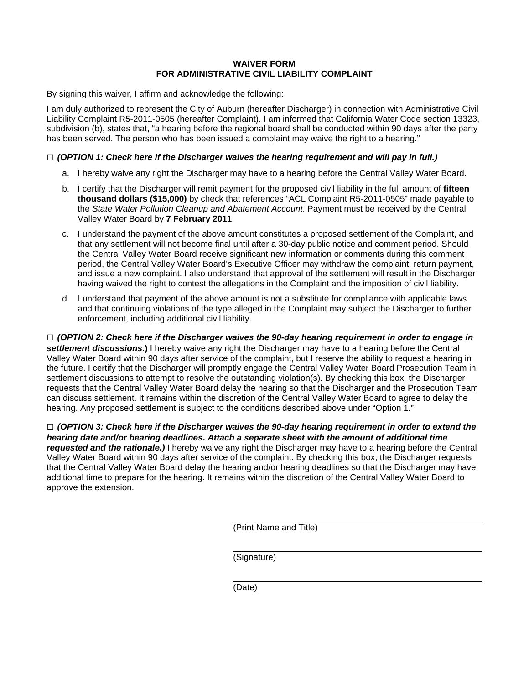#### **WAIVER FORM FOR ADMINISTRATIVE CIVIL LIABILITY COMPLAINT**

By signing this waiver, I affirm and acknowledge the following:

I am duly authorized to represent the City of Auburn (hereafter Discharger) in connection with Administrative Civil Liability Complaint R5-2011-0505 (hereafter Complaint). I am informed that California Water Code section 13323, subdivision (b), states that, "a hearing before the regional board shall be conducted within 90 days after the party has been served. The person who has been issued a complaint may waive the right to a hearing."

#### **□** *(OPTION 1: Check here if the Discharger waives the hearing requirement and will pay in full.)*

- a. I hereby waive any right the Discharger may have to a hearing before the Central Valley Water Board.
- b. I certify that the Discharger will remit payment for the proposed civil liability in the full amount of **fifteen thousand dollars (\$15,000)** by check that references "ACL Complaint R5-2011-0505" made payable to the *State Water Pollution Cleanup and Abatement Account*. Payment must be received by the Central Valley Water Board by **7 February 2011**.
- c. I understand the payment of the above amount constitutes a proposed settlement of the Complaint, and that any settlement will not become final until after a 30-day public notice and comment period. Should the Central Valley Water Board receive significant new information or comments during this comment period, the Central Valley Water Board's Executive Officer may withdraw the complaint, return payment, and issue a new complaint. I also understand that approval of the settlement will result in the Discharger having waived the right to contest the allegations in the Complaint and the imposition of civil liability.
- d. I understand that payment of the above amount is not a substitute for compliance with applicable laws and that continuing violations of the type alleged in the Complaint may subject the Discharger to further enforcement, including additional civil liability.

**□** *(OPTION 2: Check here if the Discharger waives the 90-day hearing requirement in order to engage in settlement discussions***.)** I hereby waive any right the Discharger may have to a hearing before the Central Valley Water Board within 90 days after service of the complaint, but I reserve the ability to request a hearing in the future. I certify that the Discharger will promptly engage the Central Valley Water Board Prosecution Team in settlement discussions to attempt to resolve the outstanding violation(s). By checking this box, the Discharger requests that the Central Valley Water Board delay the hearing so that the Discharger and the Prosecution Team can discuss settlement. It remains within the discretion of the Central Valley Water Board to agree to delay the hearing. Any proposed settlement is subject to the conditions described above under "Option 1."

**□** *(OPTION 3: Check here if the Discharger waives the 90-day hearing requirement in order to extend the hearing date and/or hearing deadlines. Attach a separate sheet with the amount of additional time requested and the rationale.)* I hereby waive any right the Discharger may have to a hearing before the Central Valley Water Board within 90 days after service of the complaint. By checking this box, the Discharger requests that the Central Valley Water Board delay the hearing and/or hearing deadlines so that the Discharger may have additional time to prepare for the hearing. It remains within the discretion of the Central Valley Water Board to approve the extension.

(Print Name and Title)

(Signature)

(Date)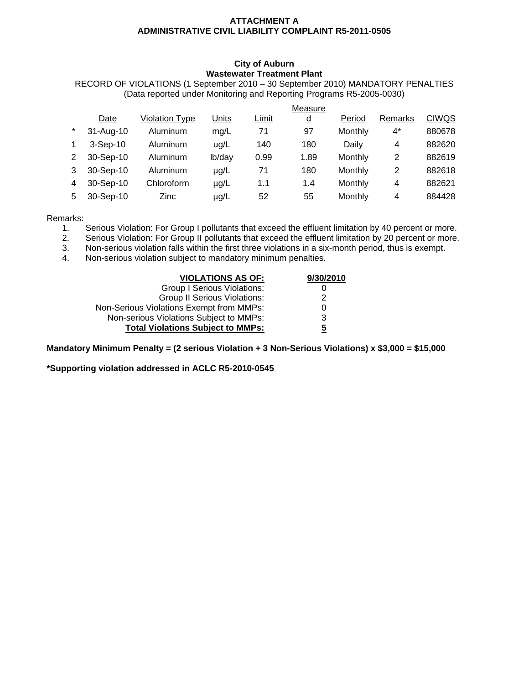#### **ATTACHMENT A ADMINISTRATIVE CIVIL LIABILITY COMPLAINT R5-2011-0505**

#### **City of Auburn Wastewater Treatment Plant**

RECORD OF VIOLATIONS (1 September 2010 – 30 September 2010) MANDATORY PENALTIES (Data reported under Monitoring and Reporting Programs R5-2005-0030)

|         |            |                |           |       | Measure        |         |         |              |
|---------|------------|----------------|-----------|-------|----------------|---------|---------|--------------|
|         | Date       | Violation Type | Units     | Limit | $\overline{q}$ | Period  | Remarks | <b>CIWQS</b> |
| $\star$ | 31-Aug-10  | Aluminum       | mg/L      | 71    | 97             | Monthly | 4*      | 880678       |
|         | $3-Sep-10$ | Aluminum       | uq/L      | 140   | 180            | Daily   | 4       | 882620       |
| 2       | 30-Sep-10  | Aluminum       | lb/day    | 0.99  | 1.89           | Monthly | 2       | 882619       |
| 3       | 30-Sep-10  | Aluminum       | $\mu$ g/L | 71    | 180            | Monthly | 2       | 882618       |
| 4       | 30-Sep-10  | Chloroform     | $\mu$ g/L | 1.1   | 1.4            | Monthly | 4       | 882621       |
| 5       | 30-Sep-10  | <b>Zinc</b>    | $\mu$ g/L | 52    | 55             | Monthly | 4       | 884428       |
|         |            |                |           |       |                |         |         |              |

Remarks:

1. Serious Violation: For Group I pollutants that exceed the effluent limitation by 40 percent or more.

2. Serious Violation: For Group II pollutants that exceed the effluent limitation by 20 percent or more.

3. Non-serious violation falls within the first three violations in a six-month period, thus is exempt.

4. Non-serious violation subject to mandatory minimum penalties.

| <b>VIOLATIONS AS OF:</b>                 | 9/30/2010 |
|------------------------------------------|-----------|
| <b>Group I Serious Violations:</b>       |           |
| <b>Group II Serious Violations:</b>      | 2         |
| Non-Serious Violations Exempt from MMPs: |           |
| Non-serious Violations Subject to MMPs:  | 3         |
| <b>Total Violations Subject to MMPs:</b> | 5         |

**Mandatory Minimum Penalty = (2 serious Violation + 3 Non-Serious Violations) x \$3,000 = \$15,000** 

**\*Supporting violation addressed in ACLC R5-2010-0545**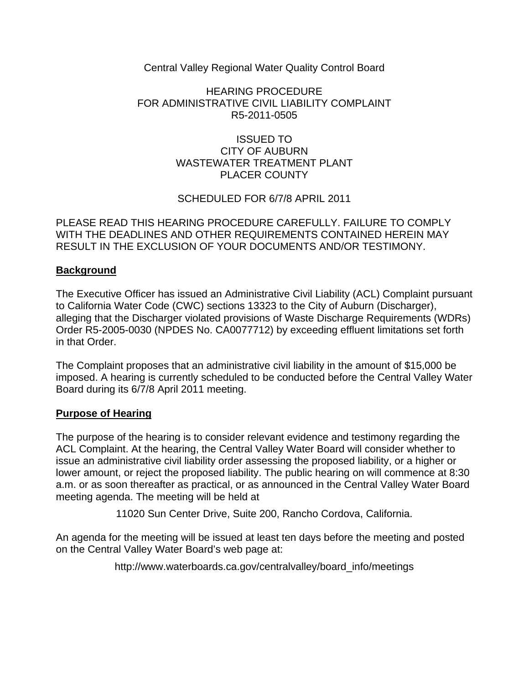Central Valley Regional Water Quality Control Board

## HEARING PROCEDURE FOR ADMINISTRATIVE CIVIL LIABILITY COMPLAINT R5-2011-0505

## ISSUED TO CITY OF AUBURN WASTEWATER TREATMENT PLANT PLACER COUNTY

# SCHEDULED FOR 6/7/8 APRIL 2011

PLEASE READ THIS HEARING PROCEDURE CAREFULLY. FAILURE TO COMPLY WITH THE DEADLINES AND OTHER REQUIREMENTS CONTAINED HEREIN MAY RESULT IN THE EXCLUSION OF YOUR DOCUMENTS AND/OR TESTIMONY.

# **Background**

The Executive Officer has issued an Administrative Civil Liability (ACL) Complaint pursuant to California Water Code (CWC) sections 13323 to the City of Auburn (Discharger), alleging that the Discharger violated provisions of Waste Discharge Requirements (WDRs) Order R5-2005-0030 (NPDES No. CA0077712) by exceeding effluent limitations set forth in that Order.

The Complaint proposes that an administrative civil liability in the amount of \$15,000 be imposed. A hearing is currently scheduled to be conducted before the Central Valley Water Board during its 6/7/8 April 2011 meeting.

## **Purpose of Hearing**

The purpose of the hearing is to consider relevant evidence and testimony regarding the ACL Complaint. At the hearing, the Central Valley Water Board will consider whether to issue an administrative civil liability order assessing the proposed liability, or a higher or lower amount, or reject the proposed liability. The public hearing on will commence at 8:30 a.m. or as soon thereafter as practical, or as announced in the Central Valley Water Board meeting agenda. The meeting will be held at

11020 Sun Center Drive, Suite 200, Rancho Cordova, California.

An agenda for the meeting will be issued at least ten days before the meeting and posted on the Central Valley Water Board's web page at:

http://www.waterboards.ca.gov/centralvalley/board\_info/meetings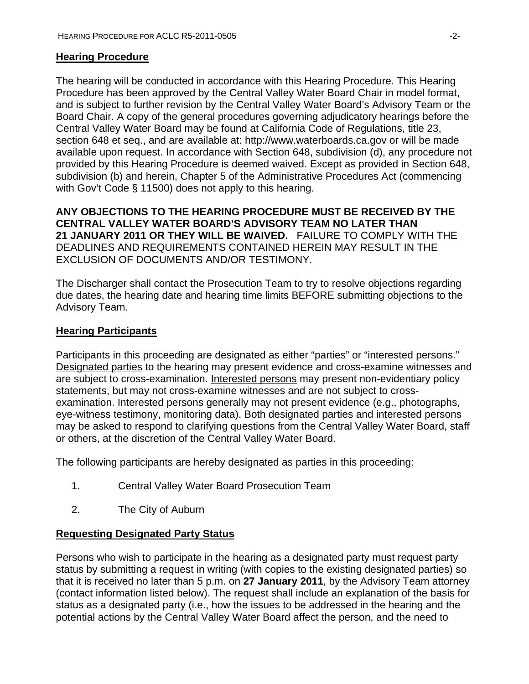#### **Hearing Procedure**

The hearing will be conducted in accordance with this Hearing Procedure. This Hearing Procedure has been approved by the Central Valley Water Board Chair in model format, and is subject to further revision by the Central Valley Water Board's Advisory Team or the Board Chair. A copy of the general procedures governing adjudicatory hearings before the Central Valley Water Board may be found at California Code of Regulations, title 23, section 648 et seq., and are available at: http://www.waterboards.ca.gov or will be made available upon request. In accordance with Section 648, subdivision (d), any procedure not provided by this Hearing Procedure is deemed waived. Except as provided in Section 648, subdivision (b) and herein, Chapter 5 of the Administrative Procedures Act (commencing with Gov't Code § 11500) does not apply to this hearing.

**ANY OBJECTIONS TO THE HEARING PROCEDURE MUST BE RECEIVED BY THE CENTRAL VALLEY WATER BOARD'S ADVISORY TEAM NO LATER THAN 21 JANUARY 2011 OR THEY WILL BE WAIVED.** FAILURE TO COMPLY WITH THE DEADLINES AND REQUIREMENTS CONTAINED HEREIN MAY RESULT IN THE EXCLUSION OF DOCUMENTS AND/OR TESTIMONY.

The Discharger shall contact the Prosecution Team to try to resolve objections regarding due dates, the hearing date and hearing time limits BEFORE submitting objections to the Advisory Team.

#### **Hearing Participants**

Participants in this proceeding are designated as either "parties" or "interested persons." Designated parties to the hearing may present evidence and cross-examine witnesses and are subject to cross-examination. Interested persons may present non-evidentiary policy statements, but may not cross-examine witnesses and are not subject to crossexamination. Interested persons generally may not present evidence (e.g., photographs, eye-witness testimony, monitoring data). Both designated parties and interested persons may be asked to respond to clarifying questions from the Central Valley Water Board, staff or others, at the discretion of the Central Valley Water Board.

The following participants are hereby designated as parties in this proceeding:

- 1. Central Valley Water Board Prosecution Team
- 2. The City of Auburn

#### **Requesting Designated Party Status**

Persons who wish to participate in the hearing as a designated party must request party status by submitting a request in writing (with copies to the existing designated parties) so that it is received no later than 5 p.m. on **27 January 2011**, by the Advisory Team attorney (contact information listed below). The request shall include an explanation of the basis for status as a designated party (i.e., how the issues to be addressed in the hearing and the potential actions by the Central Valley Water Board affect the person, and the need to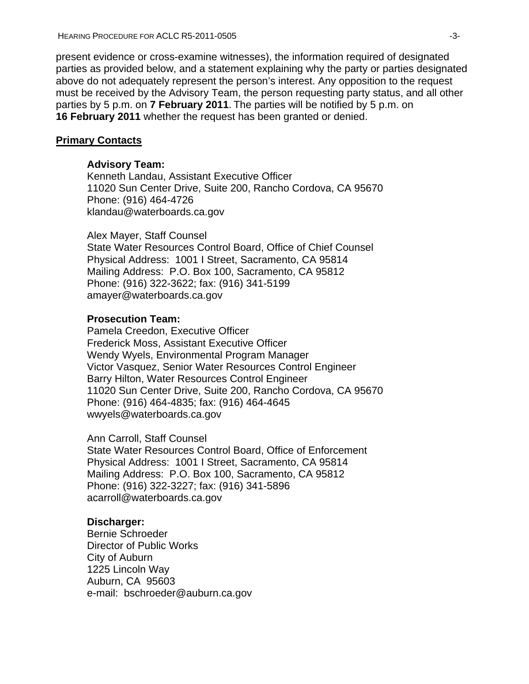present evidence or cross-examine witnesses), the information required of designated parties as provided below, and a statement explaining why the party or parties designated above do not adequately represent the person's interest. Any opposition to the request must be received by the Advisory Team, the person requesting party status, and all other parties by 5 p.m. on **7 February 2011**. The parties will be notified by 5 p.m. on **16 February 2011** whether the request has been granted or denied.

#### **Primary Contacts**

#### **Advisory Team:**

Kenneth Landau, Assistant Executive Officer 11020 Sun Center Drive, Suite 200, Rancho Cordova, CA 95670 Phone: (916) 464-4726 klandau@waterboards.ca.gov

Alex Mayer, Staff Counsel State Water Resources Control Board, Office of Chief Counsel Physical Address: 1001 I Street, Sacramento, CA 95814 Mailing Address: P.O. Box 100, Sacramento, CA 95812 Phone: (916) 322-3622; fax: (916) 341-5199 amayer@waterboards.ca.gov

#### **Prosecution Team:**

Pamela Creedon, Executive Officer Frederick Moss, Assistant Executive Officer Wendy Wyels, Environmental Program Manager Victor Vasquez, Senior Water Resources Control Engineer Barry Hilton, Water Resources Control Engineer 11020 Sun Center Drive, Suite 200, Rancho Cordova, CA 95670 Phone: (916) 464-4835; fax: (916) 464-4645 wwyels@waterboards.ca.gov

Ann Carroll, Staff Counsel

State Water Resources Control Board, Office of Enforcement Physical Address: 1001 I Street, Sacramento, CA 95814 Mailing Address: P.O. Box 100, Sacramento, CA 95812 Phone: (916) 322-3227; fax: (916) 341-5896 acarroll@waterboards.ca.gov

#### **Discharger:**

Bernie Schroeder Director of Public Works City of Auburn 1225 Lincoln Way Auburn, CA 95603 e-mail: bschroeder@auburn.ca.gov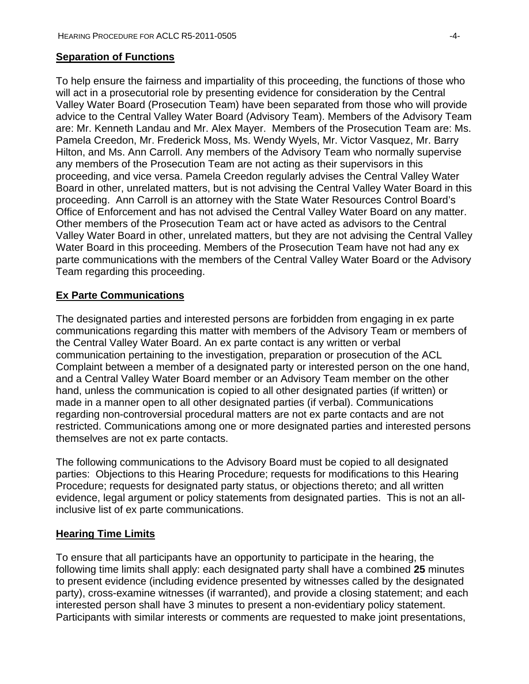#### **Separation of Functions**

To help ensure the fairness and impartiality of this proceeding, the functions of those who will act in a prosecutorial role by presenting evidence for consideration by the Central Valley Water Board (Prosecution Team) have been separated from those who will provide advice to the Central Valley Water Board (Advisory Team). Members of the Advisory Team are: Mr. Kenneth Landau and Mr. Alex Mayer. Members of the Prosecution Team are: Ms. Pamela Creedon, Mr. Frederick Moss, Ms. Wendy Wyels, Mr. Victor Vasquez, Mr. Barry Hilton, and Ms. Ann Carroll. Any members of the Advisory Team who normally supervise any members of the Prosecution Team are not acting as their supervisors in this proceeding, and vice versa. Pamela Creedon regularly advises the Central Valley Water Board in other, unrelated matters, but is not advising the Central Valley Water Board in this proceeding. Ann Carroll is an attorney with the State Water Resources Control Board's Office of Enforcement and has not advised the Central Valley Water Board on any matter. Other members of the Prosecution Team act or have acted as advisors to the Central Valley Water Board in other, unrelated matters, but they are not advising the Central Valley Water Board in this proceeding. Members of the Prosecution Team have not had any ex parte communications with the members of the Central Valley Water Board or the Advisory Team regarding this proceeding.

## **Ex Parte Communications**

The designated parties and interested persons are forbidden from engaging in ex parte communications regarding this matter with members of the Advisory Team or members of the Central Valley Water Board. An ex parte contact is any written or verbal communication pertaining to the investigation, preparation or prosecution of the ACL Complaint between a member of a designated party or interested person on the one hand, and a Central Valley Water Board member or an Advisory Team member on the other hand, unless the communication is copied to all other designated parties (if written) or made in a manner open to all other designated parties (if verbal). Communications regarding non-controversial procedural matters are not ex parte contacts and are not restricted. Communications among one or more designated parties and interested persons themselves are not ex parte contacts.

The following communications to the Advisory Board must be copied to all designated parties: Objections to this Hearing Procedure; requests for modifications to this Hearing Procedure; requests for designated party status, or objections thereto; and all written evidence, legal argument or policy statements from designated parties. This is not an allinclusive list of ex parte communications.

## **Hearing Time Limits**

To ensure that all participants have an opportunity to participate in the hearing, the following time limits shall apply: each designated party shall have a combined **25** minutes to present evidence (including evidence presented by witnesses called by the designated party), cross-examine witnesses (if warranted), and provide a closing statement; and each interested person shall have 3 minutes to present a non-evidentiary policy statement. Participants with similar interests or comments are requested to make joint presentations,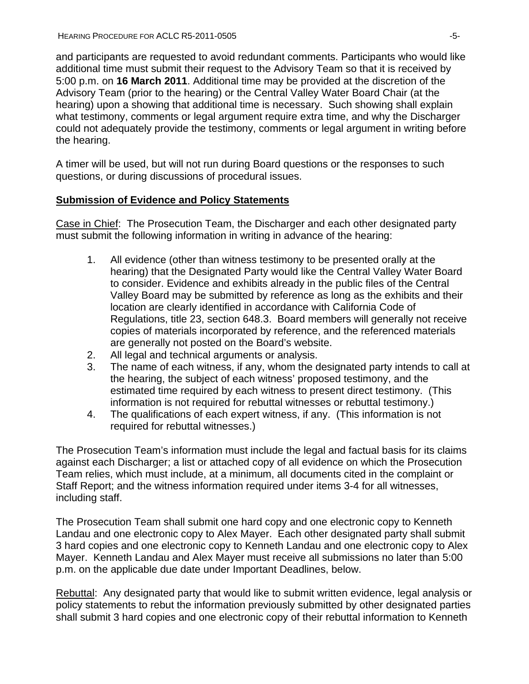and participants are requested to avoid redundant comments. Participants who would like additional time must submit their request to the Advisory Team so that it is received by 5:00 p.m. on **16 March 2011**. Additional time may be provided at the discretion of the Advisory Team (prior to the hearing) or the Central Valley Water Board Chair (at the hearing) upon a showing that additional time is necessary. Such showing shall explain what testimony, comments or legal argument require extra time, and why the Discharger could not adequately provide the testimony, comments or legal argument in writing before the hearing.

A timer will be used, but will not run during Board questions or the responses to such questions, or during discussions of procedural issues.

## **Submission of Evidence and Policy Statements**

Case in Chief: The Prosecution Team, the Discharger and each other designated party must submit the following information in writing in advance of the hearing:

- 1. All evidence (other than witness testimony to be presented orally at the hearing) that the Designated Party would like the Central Valley Water Board to consider. Evidence and exhibits already in the public files of the Central Valley Board may be submitted by reference as long as the exhibits and their location are clearly identified in accordance with California Code of Regulations, title 23, section 648.3. Board members will generally not receive copies of materials incorporated by reference, and the referenced materials are generally not posted on the Board's website.
- 2. All legal and technical arguments or analysis.
- 3. The name of each witness, if any, whom the designated party intends to call at the hearing, the subject of each witness' proposed testimony, and the estimated time required by each witness to present direct testimony. (This information is not required for rebuttal witnesses or rebuttal testimony.)
- 4. The qualifications of each expert witness, if any. (This information is not required for rebuttal witnesses.)

The Prosecution Team's information must include the legal and factual basis for its claims against each Discharger; a list or attached copy of all evidence on which the Prosecution Team relies, which must include, at a minimum, all documents cited in the complaint or Staff Report; and the witness information required under items 3-4 for all witnesses, including staff.

The Prosecution Team shall submit one hard copy and one electronic copy to Kenneth Landau and one electronic copy to Alex Mayer. Each other designated party shall submit 3 hard copies and one electronic copy to Kenneth Landau and one electronic copy to Alex Mayer. Kenneth Landau and Alex Mayer must receive all submissions no later than 5:00 p.m. on the applicable due date under Important Deadlines, below.

Rebuttal: Any designated party that would like to submit written evidence, legal analysis or policy statements to rebut the information previously submitted by other designated parties shall submit 3 hard copies and one electronic copy of their rebuttal information to Kenneth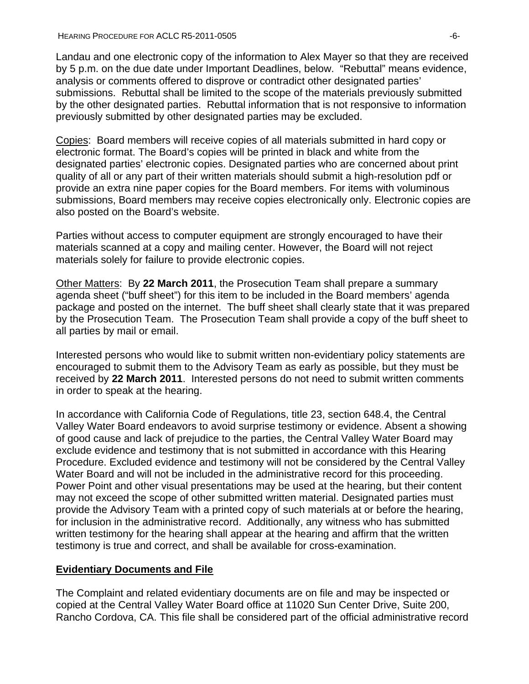Landau and one electronic copy of the information to Alex Mayer so that they are received by 5 p.m. on the due date under Important Deadlines, below. "Rebuttal" means evidence, analysis or comments offered to disprove or contradict other designated parties' submissions. Rebuttal shall be limited to the scope of the materials previously submitted by the other designated parties. Rebuttal information that is not responsive to information previously submitted by other designated parties may be excluded.

Copies: Board members will receive copies of all materials submitted in hard copy or electronic format. The Board's copies will be printed in black and white from the designated parties' electronic copies. Designated parties who are concerned about print quality of all or any part of their written materials should submit a high-resolution pdf or provide an extra nine paper copies for the Board members. For items with voluminous submissions, Board members may receive copies electronically only. Electronic copies are also posted on the Board's website.

Parties without access to computer equipment are strongly encouraged to have their materials scanned at a copy and mailing center. However, the Board will not reject materials solely for failure to provide electronic copies.

Other Matters: By **22 March 2011**, the Prosecution Team shall prepare a summary agenda sheet ("buff sheet") for this item to be included in the Board members' agenda package and posted on the internet. The buff sheet shall clearly state that it was prepared by the Prosecution Team. The Prosecution Team shall provide a copy of the buff sheet to all parties by mail or email.

Interested persons who would like to submit written non-evidentiary policy statements are encouraged to submit them to the Advisory Team as early as possible, but they must be received by **22 March 2011**. Interested persons do not need to submit written comments in order to speak at the hearing.

In accordance with California Code of Regulations, title 23, section 648.4, the Central Valley Water Board endeavors to avoid surprise testimony or evidence. Absent a showing of good cause and lack of prejudice to the parties, the Central Valley Water Board may exclude evidence and testimony that is not submitted in accordance with this Hearing Procedure. Excluded evidence and testimony will not be considered by the Central Valley Water Board and will not be included in the administrative record for this proceeding. Power Point and other visual presentations may be used at the hearing, but their content may not exceed the scope of other submitted written material. Designated parties must provide the Advisory Team with a printed copy of such materials at or before the hearing, for inclusion in the administrative record. Additionally, any witness who has submitted written testimony for the hearing shall appear at the hearing and affirm that the written testimony is true and correct, and shall be available for cross-examination.

## **Evidentiary Documents and File**

The Complaint and related evidentiary documents are on file and may be inspected or copied at the Central Valley Water Board office at 11020 Sun Center Drive, Suite 200, Rancho Cordova, CA. This file shall be considered part of the official administrative record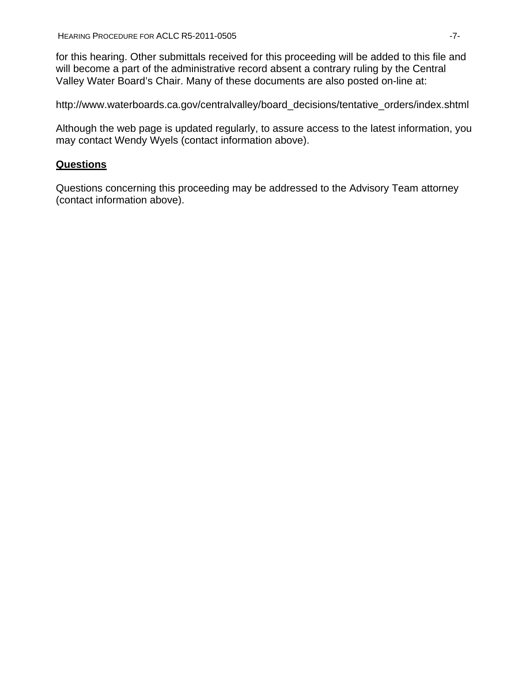for this hearing. Other submittals received for this proceeding will be added to this file and will become a part of the administrative record absent a contrary ruling by the Central Valley Water Board's Chair. Many of these documents are also posted on-line at:

[http://www.waterboards.ca.gov/centralvalley/board\\_decisions/tentative\\_orders/index.shtml](http://www.waterboards.ca.gov/centralvalley/board_decisions/tentative_orders/index.shtml) 

Although the web page is updated regularly, to assure access to the latest information, you may contact Wendy Wyels (contact information above).

## **Questions**

Questions concerning this proceeding may be addressed to the Advisory Team attorney (contact information above).